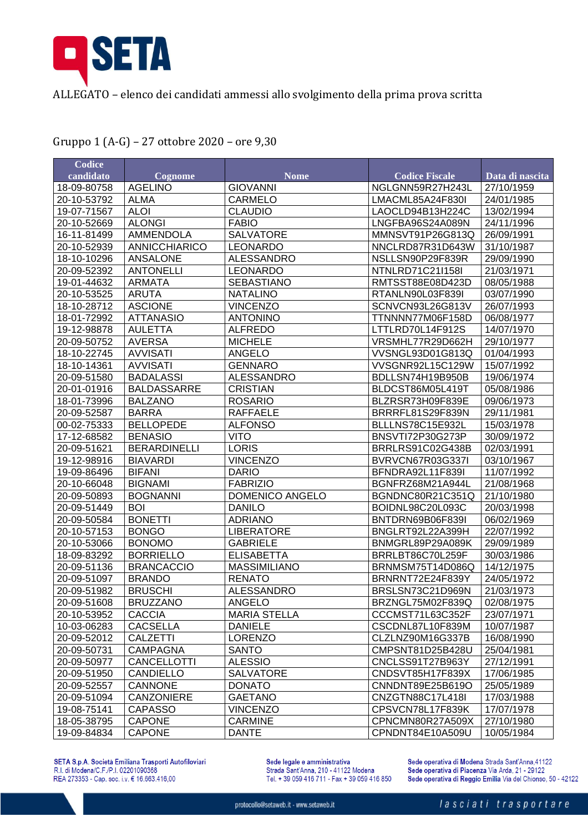

ALLEGATO – elenco dei candidati ammessi allo svolgimento della prima prova scritta

| <b>Codice</b> |                     |                        |                       |                 |
|---------------|---------------------|------------------------|-----------------------|-----------------|
| candidato     | Cognome             | <b>Nome</b>            | <b>Codice Fiscale</b> | Data di nascita |
| 18-09-80758   | <b>AGELINO</b>      | <b>GIOVANNI</b>        | NGLGNN59R27H243L      | 27/10/1959      |
| 20-10-53792   | <b>ALMA</b>         | <b>CARMELO</b>         | LMACML85A24F830I      | 24/01/1985      |
| 19-07-71567   | <b>ALOI</b>         | <b>CLAUDIO</b>         | LAOCLD94B13H224C      | 13/02/1994      |
| 20-10-52669   | <b>ALONGI</b>       | <b>FABIO</b>           | LNGFBA96S24A089N      | 24/11/1996      |
| 16-11-81499   | <b>AMMENDOLA</b>    | <b>SALVATORE</b>       | MMNSVT91P26G813Q      | 26/09/1991      |
| 20-10-52939   | ANNICCHIARICO       | <b>LEONARDO</b>        | NNCLRD87R31D643W      | 31/10/1987      |
| 18-10-10296   | <b>ANSALONE</b>     | <b>ALESSANDRO</b>      | NSLLSN90P29F839R      | 29/09/1990      |
| 20-09-52392   | <b>ANTONELLI</b>    | <b>LEONARDO</b>        | NTNLRD71C21l158l      | 21/03/1971      |
| 19-01-44632   | <b>ARMATA</b>       | <b>SEBASTIANO</b>      | RMTSST88E08D423D      | 08/05/1988      |
| 20-10-53525   | <b>ARUTA</b>        | <b>NATALINO</b>        | RTANLN90L03F839I      | 03/07/1990      |
| 18-10-28712   | <b>ASCIONE</b>      | <b>VINCENZO</b>        | SCNVCN93L26G813V      | 26/07/1993      |
| 18-01-72992   | <b>ATTANASIO</b>    | <b>ANTONINO</b>        | TTNNNN77M06F158D      | 06/08/1977      |
| 19-12-98878   | <b>AULETTA</b>      | <b>ALFREDO</b>         | LTTLRD70L14F912S      | 14/07/1970      |
| 20-09-50752   | <b>AVERSA</b>       | <b>MICHELE</b>         | VRSMHL77R29D662H      | 29/10/1977      |
| 18-10-22745   | <b>AVVISATI</b>     | <b>ANGELO</b>          | VVSNGL93D01G813Q      | 01/04/1993      |
| 18-10-14361   | <b>AVVISATI</b>     | <b>GENNARO</b>         | VVSGNR92L15C129W      | 15/07/1992      |
| 20-09-51580   | <b>BADALASSI</b>    | <b>ALESSANDRO</b>      | BDLLSN74H19B950B      | 19/06/1974      |
| 20-01-01916   | <b>BALDASSARRE</b>  | <b>CRISTIAN</b>        | BLDCST86M05L419T      | 05/08/1986      |
| 18-01-73996   | <b>BALZANO</b>      | <b>ROSARIO</b>         | BLZRSR73H09F839E      | 09/06/1973      |
| 20-09-52587   | <b>BARRA</b>        | <b>RAFFAELE</b>        | BRRRFL81S29F839N      | 29/11/1981      |
| 00-02-75333   | <b>BELLOPEDE</b>    | <b>ALFONSO</b>         | BLLLNS78C15E932L      | 15/03/1978      |
| 17-12-68582   | <b>BENASIO</b>      | <b>VITO</b>            | BNSVTI72P30G273P      | 30/09/1972      |
| 20-09-51621   | <b>BERARDINELLI</b> | <b>LORIS</b>           | BRRLRS91C02G438B      | 02/03/1991      |
| 19-12-98916   | <b>BIAVARDI</b>     | <b>VINCENZO</b>        | BVRVCN67R03G337I      | 03/10/1967      |
| 19-09-86496   | <b>BIFANI</b>       | <b>DARIO</b>           | BFNDRA92L11F839I      | 11/07/1992      |
| 20-10-66048   | <b>BIGNAMI</b>      | <b>FABRIZIO</b>        | BGNFRZ68M21A944L      | 21/08/1968      |
| 20-09-50893   | <b>BOGNANNI</b>     | <b>DOMENICO ANGELO</b> | BGNDNC80R21C351Q      | 21/10/1980      |
| 20-09-51449   | <b>BOI</b>          | <b>DANILO</b>          | BOIDNL98C20L093C      | 20/03/1998      |
| 20-09-50584   | <b>BONETTI</b>      | <b>ADRIANO</b>         | BNTDRN69B06F839I      | 06/02/1969      |
| 20-10-57153   | <b>BONGO</b>        | <b>LIBERATORE</b>      | BNGLRT92L22A399H      | 22/07/1992      |
| 20-10-53066   | <b>BONOMO</b>       | <b>GABRIELE</b>        | BNMGRL89P29A089K      | 29/09/1989      |
| 18-09-83292   | <b>BORRIELLO</b>    | <b>ELISABETTA</b>      | BRRLBT86C70L259F      | 30/03/1986      |
| 20-09-51136   | <b>BRANCACCIO</b>   | <b>MASSIMILIANO</b>    | BRNMSM75T14D086Q      | 14/12/1975      |
| 20-09-51097   | <b>BRANDO</b>       | <b>RENATO</b>          | BRNRNT72E24F839Y      | 24/05/1972      |
| 20-09-51982   | <b>BRUSCHI</b>      | <b>ALESSANDRO</b>      | BRSLSN73C21D969N      | 21/03/1973      |
| 20-09-51608   | <b>BRUZZANO</b>     | ANGELO                 | BRZNGL75M02F839Q      | 02/08/1975      |
| 20-10-53952   | <b>CACCIA</b>       | <b>MARIA STELLA</b>    | CCCMST71L63C352F      | 23/07/1971      |
| 10-03-06283   | <b>CACSELLA</b>     | <b>DANIELE</b>         | CSCDNL87L10F839M      | 10/07/1987      |
| 20-09-52012   | <b>CALZETTI</b>     | <b>LORENZO</b>         | CLZLNZ90M16G337B      | 16/08/1990      |
| 20-09-50731   | <b>CAMPAGNA</b>     | <b>SANTO</b>           | CMPSNT81D25B428U      | 25/04/1981      |
| 20-09-50977   | <b>CANCELLOTTI</b>  | <b>ALESSIO</b>         | CNCLSS91T27B963Y      | 27/12/1991      |
| 20-09-51950   | <b>CANDIELLO</b>    | <b>SALVATORE</b>       | CNDSVT85H17F839X      | 17/06/1985      |
| 20-09-52557   | CANNONE             | <b>DONATO</b>          | CNNDNT89E25B619O      | 25/05/1989      |
| 20-09-51094   | <b>CANZONIERE</b>   | <b>GAETANO</b>         | CNZGTN88C17L418I      | 17/03/1988      |
| 19-08-75141   | <b>CAPASSO</b>      | <b>VINCENZO</b>        | CPSVCN78L17F839K      | 17/07/1978      |
| 18-05-38795   | <b>CAPONE</b>       | <b>CARMINE</b>         | CPNCMN80R27A509X      | 27/10/1980      |
| 19-09-84834   | <b>CAPONE</b>       | <b>DANTE</b>           | CPNDNT84E10A509U      | 10/05/1984      |

Gruppo 1 (A-G) – 27 ottobre 2020 – ore 9,30

SETA S.p.A. Società Emiliana Trasporti Autofiloviari<br>R.I. di Modena/C.F./P.I. 02201090368<br>REA 273353 - Cap. soc. i.v. € 16.663.416,00

Sede legale e amministrativa Strada Sant'Anna, 210 - 41122 Modena<br>Tel. + 39 059 416 711 - Fax + 39 059 416 850 Sede operativa di Modena Strada Sant'Anna, 41122 Sede operativa di Piacenza Via Arda, 21 - 29122 Sede operativa di Reggio Emilia Via del Chionso, 50 - 42122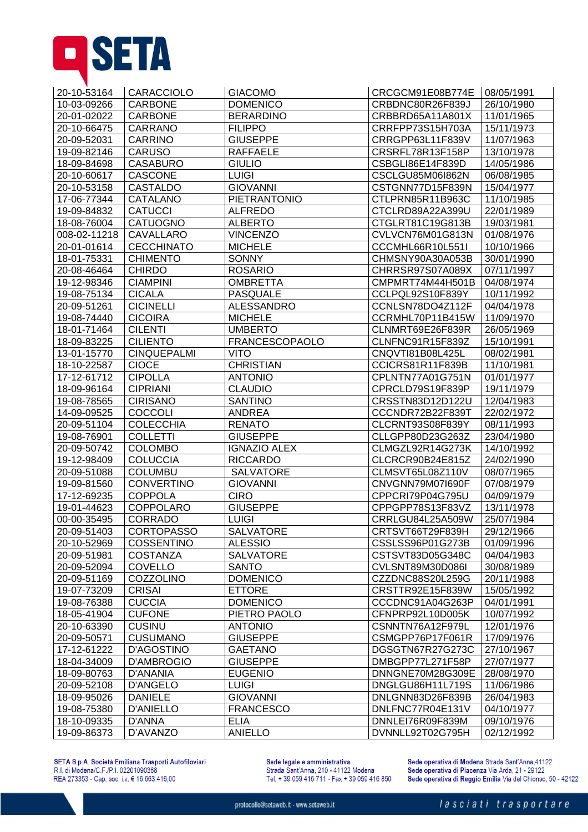

| 20-10-53164  | <b>CARACCIOLO</b>  | <b>GIACOMO</b>        | CRCGCM91E08B774E | 08/05/1991 |
|--------------|--------------------|-----------------------|------------------|------------|
| 10-03-09266  | CARBONE            | <b>DOMENICO</b>       | CRBDNC80R26F839J | 26/10/1980 |
| 20-01-02022  | <b>CARBONE</b>     | <b>BERARDINO</b>      | CRBBRD65A11A801X | 11/01/1965 |
| 20-10-66475  | CARRANO            | <b>FILIPPO</b>        | CRRFPP73S15H703A | 15/11/1973 |
| 20-09-52031  | <b>CARRINO</b>     | <b>GIUSEPPE</b>       | CRRGPP63L11F839V | 11/07/1963 |
| 19-09-82146  | <b>CARUSO</b>      | <b>RAFFAELE</b>       | CRSRFL78R13F158P | 13/10/1978 |
| 18-09-84698  | <b>CASABURO</b>    | <b>GIULIO</b>         | CSBGLI86E14F839D | 14/05/1986 |
| 20-10-60617  | <b>CASCONE</b>     | <b>LUIGI</b>          | CSCLGU85M06I862N | 06/08/1985 |
| 20-10-53158  | <b>CASTALDO</b>    | <b>GIOVANNI</b>       | CSTGNN77D15F839N | 15/04/1977 |
| 17-06-77344  | CATALANO           | <b>PIETRANTONIO</b>   | CTLPRN85R11B963C | 11/10/1985 |
| 19-09-84832  | <b>CATUCCI</b>     | <b>ALFREDO</b>        | CTCLRD89A22A399U | 22/01/1989 |
| 18-08-76004  | CATUOGNO           | <b>ALBERTO</b>        | CTGLRT81C19G813B | 19/03/1981 |
| 008-02-11218 | CAVALLARO          | <b>VINCENZO</b>       | CVLVCN76M01G813N | 01/08/1976 |
| 20-01-01614  | <b>CECCHINATO</b>  | <b>MICHELE</b>        | CCCMHL66R10L551I | 10/10/1966 |
| 18-01-75331  | <b>CHIMENTO</b>    | <b>SONNY</b>          | CHMSNY90A30A053B | 30/01/1990 |
| 20-08-46464  | <b>CHIRDO</b>      | <b>ROSARIO</b>        | CHRRSR97S07A089X | 07/11/1997 |
| 19-12-98346  | <b>CIAMPINI</b>    | <b>OMBRETTA</b>       | CMPMRT74M44H501B | 04/08/1974 |
| 19-08-75134  | <b>CICALA</b>      | <b>PASQUALE</b>       | CCLPQL92S10F839Y | 10/11/1992 |
| 20-09-51261  | <b>CICINELLI</b>   | <b>ALESSANDRO</b>     | CCNLSN78DO4Z112F | 04/04/1978 |
| 19-08-74440  | <b>CICOIRA</b>     | <b>MICHELE</b>        | CCRMHL70P11B415W | 11/09/1970 |
| 18-01-71464  | <b>CILENTI</b>     | <b>UMBERTO</b>        | CLNMRT69E26F839R | 26/05/1969 |
| 18-09-83225  | <b>CILIENTO</b>    | <b>FRANCESCOPAOLO</b> | CLNFNC91R15F839Z | 15/10/1991 |
| 13-01-15770  | <b>CINQUEPALMI</b> | <b>VITO</b>           | CNQVTI81B08L425L | 08/02/1981 |
| 18-10-22587  | <b>CIOCE</b>       | <b>CHRISTIAN</b>      | CCICRS81R11F839B | 11/10/1981 |
| 17-12-61712  | <b>CIPOLLA</b>     | <b>ANTONIO</b>        | CPLNTN77A01G751N | 01/01/1977 |
| 18-09-96164  | <b>CIPRIANI</b>    | <b>CLAUDIO</b>        | CPRCLD79S19F839P | 19/11/1979 |
| 19-08-78565  | <b>CIRISANO</b>    | <b>SANTINO</b>        | CRSSTN83D12D122U | 12/04/1983 |
| 14-09-09525  | <b>COCCOLI</b>     | ANDREA                | CCCNDR72B22F839T | 22/02/1972 |
| 20-09-51104  | <b>COLECCHIA</b>   | <b>RENATO</b>         | CLCRNT93S08F839Y | 08/11/1993 |
| 19-08-76901  | <b>COLLETTI</b>    | <b>GIUSEPPE</b>       | CLLGPP80D23G263Z | 23/04/1980 |
| 20-09-50742  | <b>COLOMBO</b>     | <b>IGNAZIO ALEX</b>   | CLMGZL92R14G273K | 14/10/1992 |
| 19-12-98409  | <b>COLUCCIA</b>    | <b>RICCARDO</b>       | CLCRCR90B24E815Z | 24/02/1990 |
| 20-09-51088  | <b>COLUMBU</b>     | <b>SALVATORE</b>      | CLMSVT65L08Z110V | 08/07/1965 |
| 19-09-81560  | <b>CONVERTINO</b>  | <b>GIOVANNI</b>       | CNVGNN79M07I690F | 07/08/1979 |
| 17-12-69235  | <b>COPPOLA</b>     | <b>CIRO</b>           | CPPCRI79P04G795U | 04/09/1979 |
| 19-01-44623  | <b>COPPOLARO</b>   | <b>GIUSEPPE</b>       | CPPGPP78S13F83VZ | 13/11/1978 |
| 00-00-35495  | <b>CORRADO</b>     | <b>LUIGI</b>          | CRRLGU84L25A509W | 25/07/1984 |
| 20-09-51403  | <b>CORTOPASSO</b>  | <b>SALVATORE</b>      | CRTSVT66T29F839H | 29/12/1966 |
| 20-10-52969  | <b>COSSENTINO</b>  | <b>ALESSIO</b>        | CSSLSS96P01G273B | 01/09/1996 |
| 20-09-51981  | <b>COSTANZA</b>    | <b>SALVATORE</b>      | CSTSVT83D05G348C | 04/04/1983 |
| 20-09-52094  | COVELLO            | <b>SANTO</b>          | CVLSNT89M30D086I | 30/08/1989 |
| 20-09-51169  | COZZOLINO          | <b>DOMENICO</b>       | CZZDNC88S20L259G | 20/11/1988 |
| 19-07-73209  | <b>CRISAI</b>      | <b>ETTORE</b>         | CRSTTR92E15F839W | 15/05/1992 |
| 19-08-76388  | <b>CUCCIA</b>      | <b>DOMENICO</b>       | CCCDNC91A04G263P | 04/01/1991 |
| 18-05-41904  | <b>CUFONE</b>      | PIETRO PAOLO          | CFNPRP92L10D005K | 10/07/1992 |
| 20-10-63390  | <b>CUSINU</b>      | <b>ANTONIO</b>        | CSNNTN76A12F979L | 12/01/1976 |
| 20-09-50571  | <b>CUSUMANO</b>    | <b>GIUSEPPE</b>       | CSMGPP76P17F061R | 17/09/1976 |
| 17-12-61222  | D'AGOSTINO         | <b>GAETANO</b>        | DGSGTN67R27G273C | 27/10/1967 |
| 18-04-34009  | <b>D'AMBROGIO</b>  | <b>GIUSEPPE</b>       | DMBGPP77L271F58P | 27/07/1977 |
| 18-09-80763  | <b>D'ANANIA</b>    | <b>EUGENIO</b>        | DNNGNE70M28G309E | 28/08/1970 |
| 20-09-52108  | <b>D'ANGELO</b>    | <b>LUIGI</b>          | DNGLGU86H11L719S | 11/06/1986 |
| 18-09-95026  | <b>DANIELE</b>     | <b>GIOVANNI</b>       | DNLGNN83D26F839B | 26/04/1983 |
| 19-08-75380  | <b>D'ANIELLO</b>   | <b>FRANCESCO</b>      | DNLFNC77R04E131V | 04/10/1977 |
| 18-10-09335  | <b>D'ANNA</b>      | <b>ELIA</b>           | DNNLE176R09F839M | 09/10/1976 |
| 19-09-86373  | D'AVANZO           | <b>ANIELLO</b>        | DVNNLL92T02G795H | 02/12/1992 |

SETA S.p.A. Società Emiliana Trasporti Autofiloviari<br>R.I. di Modena/C.F./P.I. 02201090368<br>REA 273353 - Cap. soc. i.v. € 16.663.416,00

Sede legale e amministrativa<br>Strada Sant'Anna, 210 - 41122 Modena<br>Tel. + 39 059 416 711 - Fax + 39 059 416 850

Sede operativa di Modena Strada Sant'Anna, 41122 Sede operativa di Piacenza Via Arda, 21 - 29122<br>Sede operativa di Reggio Emilia Via del Chionso, 50 - 42122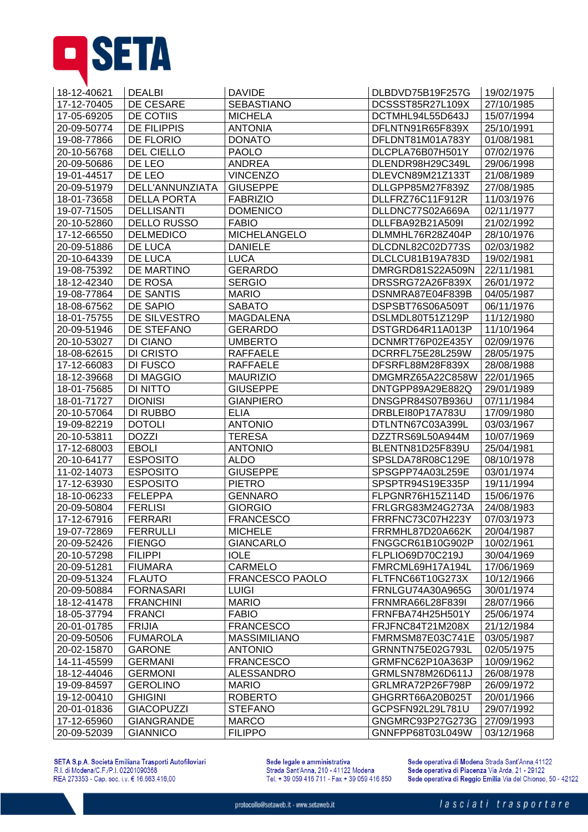

| 18-12-40621 | <b>DEALBI</b>      | <b>DAVIDE</b>          | DLBDVD75B19F257G | 19/02/1975 |
|-------------|--------------------|------------------------|------------------|------------|
| 17-12-70405 | DE CESARE          | <b>SEBASTIANO</b>      | DCSSST85R27L109X | 27/10/1985 |
| 17-05-69205 | DE COTIIS          | <b>MICHELA</b>         | DCTMHL94L55D643J | 15/07/1994 |
| 20-09-50774 | <b>DE FILIPPIS</b> | <b>ANTONIA</b>         | DFLNTN91R65F839X | 25/10/1991 |
| 19-08-77866 | <b>DE FLORIO</b>   | <b>DONATO</b>          | DFLDNT81M01A783Y | 01/08/1981 |
| 20-10-56768 | <b>DEL CIELLO</b>  | <b>PAOLO</b>           | DLCPLA76B07H501Y | 07/02/1976 |
| 20-09-50686 | DE LEO             | <b>ANDREA</b>          | DLENDR98H29C349L | 29/06/1998 |
| 19-01-44517 | DE LEO             | <b>VINCENZO</b>        | DLEVCN89M21Z133T | 21/08/1989 |
| 20-09-51979 | DELL'ANNUNZIATA    | <b>GIUSEPPE</b>        | DLLGPP85M27F839Z | 27/08/1985 |
| 18-01-73658 | <b>DELLA PORTA</b> | <b>FABRIZIO</b>        | DLLFRZ76C11F912R | 11/03/1976 |
| 19-07-71505 | <b>DELLISANTI</b>  | <b>DOMENICO</b>        | DLLDNC77S02A669A | 02/11/1977 |
| 20-10-52860 | <b>DELLO RUSSO</b> | <b>FABIO</b>           | DLLFBA92B21A509I | 21/02/1992 |
| 17-12-66550 | <b>DELMEDICO</b>   | <b>MICHELANGELO</b>    | DLMMHL76R28Z404P | 28/10/1976 |
| 20-09-51886 | DE LUCA            | <b>DANIELE</b>         | DLCDNL82C02D773S | 02/03/1982 |
| 20-10-64339 | DE LUCA            | <b>LUCA</b>            | DLCLCU81B19A783D | 19/02/1981 |
| 19-08-75392 | DE MARTINO         | <b>GERARDO</b>         | DMRGRD81S22A509N | 22/11/1981 |
| 18-12-42340 | DE ROSA            | <b>SERGIO</b>          | DRSSRG72A26F839X | 26/01/1972 |
| 19-08-77864 | <b>DE SANTIS</b>   | <b>MARIO</b>           | DSNMRA87E04F839B | 04/05/1987 |
| 18-08-67562 | DE SAPIO           | <b>SABATO</b>          | DSPSBT76S06A509T | 06/11/1976 |
| 18-01-75755 | DE SILVESTRO       | <b>MAGDALENA</b>       | DSLMDL80T51Z129P | 11/12/1980 |
| 20-09-51946 | DE STEFANO         | <b>GERARDO</b>         | DSTGRD64R11A013P | 11/10/1964 |
| 20-10-53027 | DI CIANO           | <b>UMBERTO</b>         | DCNMRT76P02E435Y | 02/09/1976 |
| 18-08-62615 | <b>DI CRISTO</b>   | <b>RAFFAELE</b>        | DCRRFL75E28L259W | 28/05/1975 |
| 17-12-66083 | DI FUSCO           | <b>RAFFAELE</b>        | DFSRFL88M28F839X | 28/08/1988 |
| 18-12-39668 | <b>DI MAGGIO</b>   | <b>MAURIZIO</b>        | DMGMRZ65A22C858W | 22/01/1965 |
| 18-01-75685 | <b>DI NITTO</b>    | <b>GIUSEPPE</b>        | DNTGPP89A29E882Q | 29/01/1989 |
| 18-01-71727 | <b>DIONISI</b>     | <b>GIANPIERO</b>       | DNSGPR84S07B936U | 07/11/1984 |
| 20-10-57064 | DI RUBBO           | <b>ELIA</b>            | DRBLEI80P17A783U | 17/09/1980 |
| 19-09-82219 | <b>DOTOLI</b>      | <b>ANTONIO</b>         | DTLNTN67C03A399L | 03/03/1967 |
| 20-10-53811 | <b>DOZZI</b>       | <b>TERESA</b>          | DZZTRS69L50A944M | 10/07/1969 |
| 17-12-68003 | <b>EBOLI</b>       | <b>ANTONIO</b>         | BLENTN81D25F839U | 25/04/1981 |
| 20-10-64177 | <b>ESPOSITO</b>    | <b>ALDO</b>            | SPSLDA78R08C129E | 08/10/1978 |
| 11-02-14073 | <b>ESPOSITO</b>    | <b>GIUSEPPE</b>        | SPSGPP74A03L259E | 03/01/1974 |
| 17-12-63930 | <b>ESPOSITO</b>    | <b>PIETRO</b>          | SPSPTR94S19E335P | 19/11/1994 |
| 18-10-06233 | <b>FELEPPA</b>     | <b>GENNARO</b>         | FLPGNR76H15Z114D | 15/06/1976 |
| 20-09-50804 | <b>FERLISI</b>     | <b>GIORGIO</b>         | FRLGRG83M24G273A | 24/08/1983 |
| 17-12-67916 | <b>FERRARI</b>     | <b>FRANCESCO</b>       | FRRFNC73C07H223Y | 07/03/1973 |
| 19-07-72869 | <b>FERRULLI</b>    | <b>MICHELE</b>         | FRRMHL87D20A662K | 20/04/1987 |
| 20-09-52426 | <b>FIENGO</b>      | <b>GIANCARLO</b>       | FNGGCR61B10G902P | 10/02/1961 |
| 20-10-57298 | <b>FILIPPI</b>     | <b>IOLE</b>            | FLPLIO69D70C219J | 30/04/1969 |
| 20-09-51281 | <b>FIUMARA</b>     | CARMELO                | FMRCML69H17A194L | 17/06/1969 |
| 20-09-51324 | <b>FLAUTO</b>      | <b>FRANCESCO PAOLO</b> | FLTFNC66T10G273X | 10/12/1966 |
| 20-09-50884 | <b>FORNASARI</b>   | <b>LUIGI</b>           | FRNLGU74A30A965G | 30/01/1974 |
| 18-12-41478 | <b>FRANCHINI</b>   | <b>MARIO</b>           | FRNMRA66L28F839I | 28/07/1966 |
| 18-05-37794 | <b>FRANCI</b>      | <b>FABIO</b>           | FRNFBA74H25H501Y | 25/06/1974 |
| 20-01-01785 | <b>FRIJIA</b>      | <b>FRANCESCO</b>       | FRJFNC84T21M208X | 21/12/1984 |
| 20-09-50506 | <b>FUMAROLA</b>    | <b>MASSIMILIANO</b>    | FMRMSM87E03C741E | 03/05/1987 |
| 20-02-15870 | <b>GARONE</b>      | <b>ANTONIO</b>         | GRNNTN75E02G793L | 02/05/1975 |
| 14-11-45599 | <b>GERMANI</b>     | <b>FRANCESCO</b>       | GRMFNC62P10A363P | 10/09/1962 |
| 18-12-44046 | <b>GERMONI</b>     | <b>ALESSANDRO</b>      | GRMLSN78M26D611J | 26/08/1978 |
| 19-09-84597 | <b>GEROLINO</b>    | <b>MARIO</b>           | GRLMRA72P26F798P | 26/09/1972 |
| 19-12-00410 | <b>GHIGINI</b>     | <b>ROBERTO</b>         | GHGRRT66A20B025T | 20/01/1966 |
| 20-01-01836 | <b>GIACOPUZZI</b>  | <b>STEFANO</b>         | GCPSFN92L29L781U | 29/07/1992 |
| 17-12-65960 | <b>GIANGRANDE</b>  | <b>MARCO</b>           | GNGMRC93P27G273G | 27/09/1993 |
| 20-09-52039 | <b>GIANNICO</b>    | <b>FILIPPO</b>         | GNNFPP68T03L049W | 03/12/1968 |
|             |                    |                        |                  |            |

SETA S.p.A. Società Emiliana Trasporti Autofiloviari<br>R.I. di Modena/C.F./P.I. 02201090368<br>REA 273353 - Cap. soc. i.v. € 16.663.416,00

Sede legale e amministrativa<br>Strada Sant'Anna, 210 - 41122 Modena<br>Tel. + 39 059 416 711 - Fax + 39 059 416 850

Sede operativa di Modena Strada Sant'Anna,41122 Sede operativa di Piacenza Via Arda, 21 - 29122<br>Sede operativa di Reggio Emilia Via del Chionso, 50 - 42122